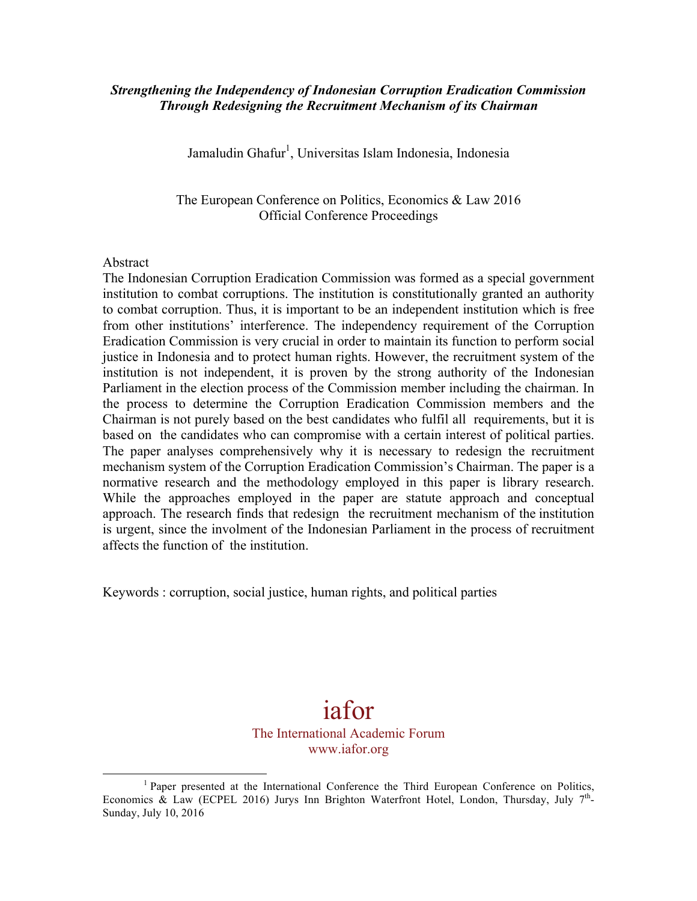### *Strengthening the Independency of Indonesian Corruption Eradication Commission Through Redesigning the Recruitment Mechanism of its Chairman*

Jamaludin Ghafur<sup>1</sup>, Universitas Islam Indonesia, Indonesia

The European Conference on Politics, Economics & Law 2016 Official Conference Proceedings

#### Abstract

The Indonesian Corruption Eradication Commission was formed as a special government institution to combat corruptions. The institution is constitutionally granted an authority to combat corruption. Thus, it is important to be an independent institution which is free from other institutions' interference. The independency requirement of the Corruption Eradication Commission is very crucial in order to maintain its function to perform social justice in Indonesia and to protect human rights. However, the recruitment system of the institution is not independent, it is proven by the strong authority of the Indonesian Parliament in the election process of the Commission member including the chairman. In the process to determine the Corruption Eradication Commission members and the Chairman is not purely based on the best candidates who fulfil all requirements, but it is based on the candidates who can compromise with a certain interest of political parties. The paper analyses comprehensively why it is necessary to redesign the recruitment mechanism system of the Corruption Eradication Commission's Chairman. The paper is a normative research and the methodology employed in this paper is library research. While the approaches employed in the paper are statute approach and conceptual approach. The research finds that redesign the recruitment mechanism of the institution is urgent, since the involment of the Indonesian Parliament in the process of recruitment affects the function of the institution.

Keywords : corruption, social justice, human rights, and political parties

 

# iafor

### The International Academic Forum www.iafor.org

 $<sup>1</sup>$  Paper presented at the International Conference the Third European Conference on Politics,</sup> Economics & Law (ECPEL 2016) Jurys Inn Brighton Waterfront Hotel, London, Thursday, July  $7<sup>th</sup>$ -Sunday, July 10, 2016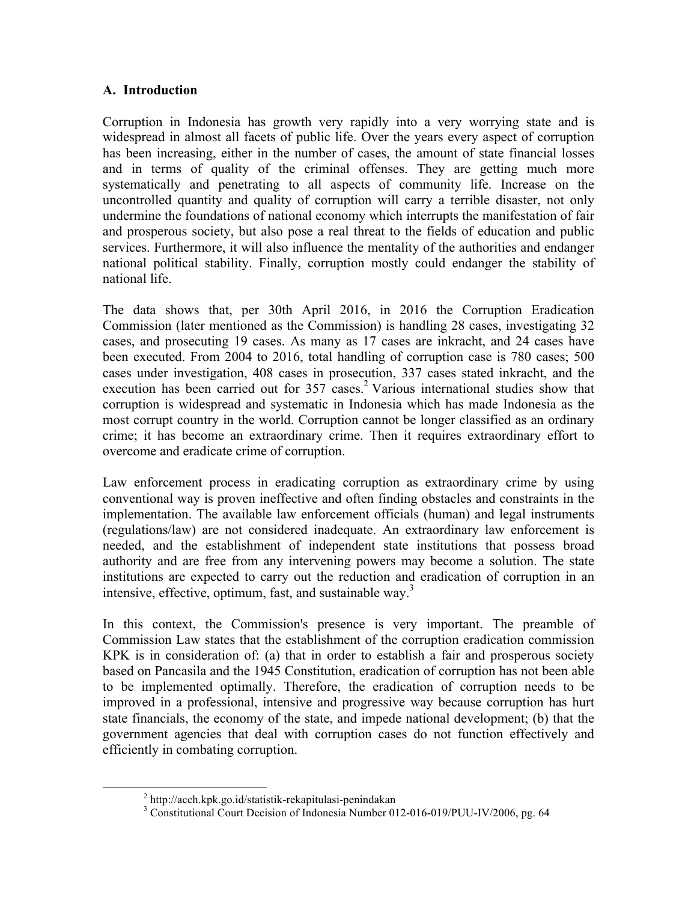## **A. Introduction**

Corruption in Indonesia has growth very rapidly into a very worrying state and is widespread in almost all facets of public life. Over the years every aspect of corruption has been increasing, either in the number of cases, the amount of state financial losses and in terms of quality of the criminal offenses. They are getting much more systematically and penetrating to all aspects of community life. Increase on the uncontrolled quantity and quality of corruption will carry a terrible disaster, not only undermine the foundations of national economy which interrupts the manifestation of fair and prosperous society, but also pose a real threat to the fields of education and public services. Furthermore, it will also influence the mentality of the authorities and endanger national political stability. Finally, corruption mostly could endanger the stability of national life.

The data shows that, per 30th April 2016, in 2016 the Corruption Eradication Commission (later mentioned as the Commission) is handling 28 cases, investigating 32 cases, and prosecuting 19 cases. As many as 17 cases are inkracht, and 24 cases have been executed. From 2004 to 2016, total handling of corruption case is 780 cases; 500 cases under investigation, 408 cases in prosecution, 337 cases stated inkracht, and the execution has been carried out for  $357$  cases.<sup>2</sup> Various international studies show that corruption is widespread and systematic in Indonesia which has made Indonesia as the most corrupt country in the world. Corruption cannot be longer classified as an ordinary crime; it has become an extraordinary crime. Then it requires extraordinary effort to overcome and eradicate crime of corruption.

Law enforcement process in eradicating corruption as extraordinary crime by using conventional way is proven ineffective and often finding obstacles and constraints in the implementation. The available law enforcement officials (human) and legal instruments (regulations/law) are not considered inadequate. An extraordinary law enforcement is needed, and the establishment of independent state institutions that possess broad authority and are free from any intervening powers may become a solution. The state institutions are expected to carry out the reduction and eradication of corruption in an intensive, effective, optimum, fast, and sustainable way.<sup>3</sup>

In this context, the Commission's presence is very important. The preamble of Commission Law states that the establishment of the corruption eradication commission KPK is in consideration of: (a) that in order to establish a fair and prosperous society based on Pancasila and the 1945 Constitution, eradication of corruption has not been able to be implemented optimally. Therefore, the eradication of corruption needs to be improved in a professional, intensive and progressive way because corruption has hurt state financials, the economy of the state, and impede national development; (b) that the government agencies that deal with corruption cases do not function effectively and efficiently in combating corruption.

 $\frac{2}{3}$  http://acch.kpk.go.id/statistik-rekapitulasi-penindakan  $\frac{3}{3}$  Constitutional Court Decision of Indonesia Number 012-016-019/PUU-IV/2006, pg. 64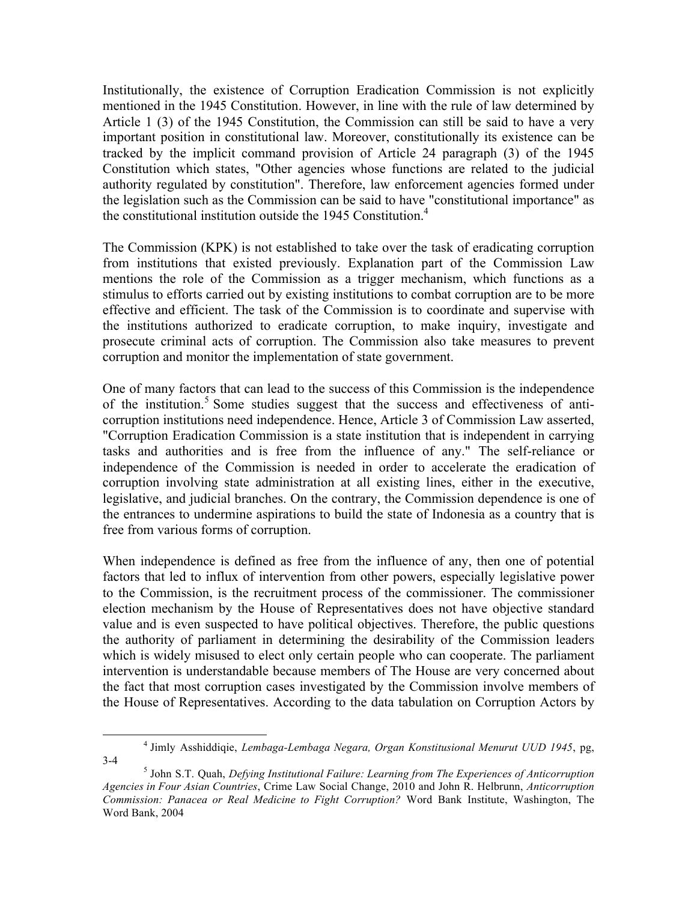Institutionally, the existence of Corruption Eradication Commission is not explicitly mentioned in the 1945 Constitution. However, in line with the rule of law determined by Article 1 (3) of the 1945 Constitution, the Commission can still be said to have a very important position in constitutional law. Moreover, constitutionally its existence can be tracked by the implicit command provision of Article 24 paragraph (3) of the 1945 Constitution which states, "Other agencies whose functions are related to the judicial authority regulated by constitution". Therefore, law enforcement agencies formed under the legislation such as the Commission can be said to have "constitutional importance" as the constitutional institution outside the 1945 Constitution. 4

The Commission (KPK) is not established to take over the task of eradicating corruption from institutions that existed previously. Explanation part of the Commission Law mentions the role of the Commission as a trigger mechanism, which functions as a stimulus to efforts carried out by existing institutions to combat corruption are to be more effective and efficient. The task of the Commission is to coordinate and supervise with the institutions authorized to eradicate corruption, to make inquiry, investigate and prosecute criminal acts of corruption. The Commission also take measures to prevent corruption and monitor the implementation of state government.

One of many factors that can lead to the success of this Commission is the independence of the institution.<sup>5</sup> Some studies suggest that the success and effectiveness of anticorruption institutions need independence. Hence, Article 3 of Commission Law asserted, "Corruption Eradication Commission is a state institution that is independent in carrying tasks and authorities and is free from the influence of any." The self-reliance or independence of the Commission is needed in order to accelerate the eradication of corruption involving state administration at all existing lines, either in the executive, legislative, and judicial branches. On the contrary, the Commission dependence is one of the entrances to undermine aspirations to build the state of Indonesia as a country that is free from various forms of corruption.

When independence is defined as free from the influence of any, then one of potential factors that led to influx of intervention from other powers, especially legislative power to the Commission, is the recruitment process of the commissioner. The commissioner election mechanism by the House of Representatives does not have objective standard value and is even suspected to have political objectives. Therefore, the public questions the authority of parliament in determining the desirability of the Commission leaders which is widely misused to elect only certain people who can cooperate. The parliament intervention is understandable because members of The House are very concerned about the fact that most corruption cases investigated by the Commission involve members of the House of Representatives. According to the data tabulation on Corruption Actors by

<sup>4</sup> Jimly Asshiddiqie, *Lembaga-Lembaga Negara, Organ Konstitusional Menurut UUD 1945*, pg,

<sup>3-4</sup> <sup>5</sup> John S.T. Quah, *Defying Institutional Failure: Learning from The Experiences of Anticorruption Agencies in Four Asian Countries*, Crime Law Social Change, 2010 and John R. Helbrunn, *Anticorruption Commission: Panacea or Real Medicine to Fight Corruption?* Word Bank Institute, Washington, The Word Bank, 2004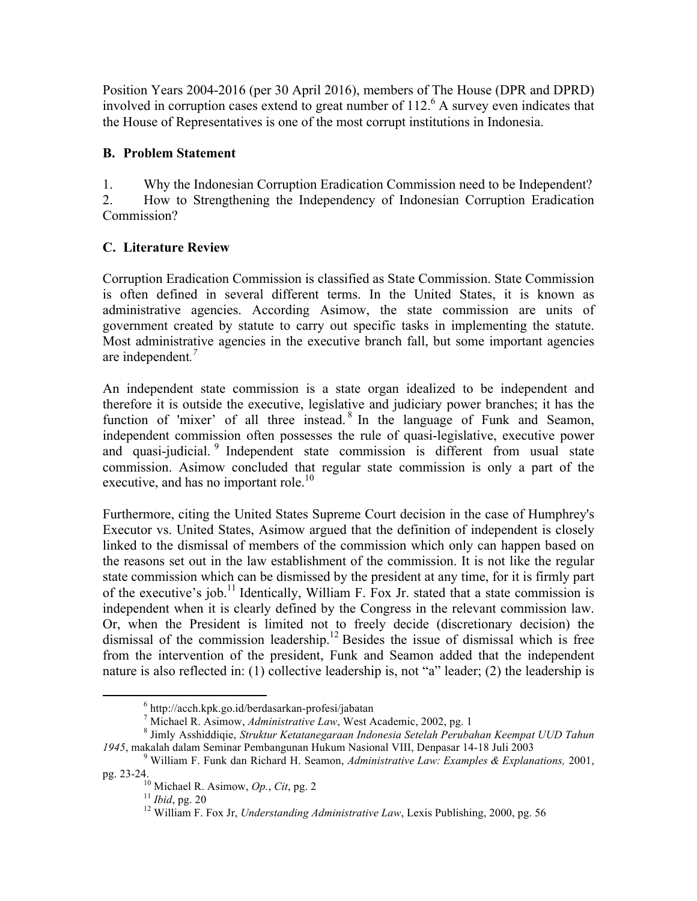Position Years 2004-2016 (per 30 April 2016), members of The House (DPR and DPRD) involved in corruption cases extend to great number of 112. <sup>6</sup> A survey even indicates that the House of Representatives is one of the most corrupt institutions in Indonesia.

## **B. Problem Statement**

1. Why the Indonesian Corruption Eradication Commission need to be Independent? 2. How to Strengthening the Independency of Indonesian Corruption Eradication Commission?

## **C. Literature Review**

Corruption Eradication Commission is classified as State Commission. State Commission is often defined in several different terms. In the United States, it is known as administrative agencies. According Asimow, the state commission are units of government created by statute to carry out specific tasks in implementing the statute. Most administrative agencies in the executive branch fall, but some important agencies are independent*. 7*

An independent state commission is a state organ idealized to be independent and therefore it is outside the executive, legislative and judiciary power branches; it has the function of 'mixer' of all three instead.<sup>8</sup> In the language of Funk and Seamon, independent commission often possesses the rule of quasi-legislative, executive power and quasi-judicial. <sup>9</sup> Independent state commission is different from usual state commission. Asimow concluded that regular state commission is only a part of the executive, and has no important role.<sup>10</sup>

Furthermore, citing the United States Supreme Court decision in the case of Humphrey's Executor vs. United States, Asimow argued that the definition of independent is closely linked to the dismissal of members of the commission which only can happen based on the reasons set out in the law establishment of the commission. It is not like the regular state commission which can be dismissed by the president at any time, for it is firmly part of the executive's job.<sup>11</sup> Identically, William F. Fox Jr. stated that a state commission is independent when it is clearly defined by the Congress in the relevant commission law. Or, when the President is limited not to freely decide (discretionary decision) the dismissal of the commission leadership.<sup>12</sup> Besides the issue of dismissal which is free from the intervention of the president, Funk and Seamon added that the independent nature is also reflected in: (1) collective leadership is, not "a" leader; (2) the leadership is

<sup>&</sup>lt;sup>6</sup> http://acch.kpk.go.id/berdasarkan-profesi/jabatan<br><sup>7</sup> Michael R. Asimow, *Administrative Law*, West Academic, 2002, pg. 1<br><sup>8</sup> Jimly Asshiddigie, *Struktur Ketatanegaraan Indonesia Setelah Perubahan Keempat UUD Tahun* 

*<sup>1945</sup>*, makalah dalam Seminar Pembangunan Hukum Nasional VIII, Denpasar 14-18 Juli 2003 <sup>9</sup> William F. Funk dan Richard H. Seamon, *Administrative Law: Examples & Explanations,* 2001,

pg. 23-24.<br><sup>10</sup> Michael R. Asimow, *Op.*, *Cit*, pg. 2<br><sup>11</sup> *Ibid*, pg. 20<br><sup>12</sup> William F. Fox Jr, *Understanding Administrative Law*, Lexis Publishing, 2000, pg. 56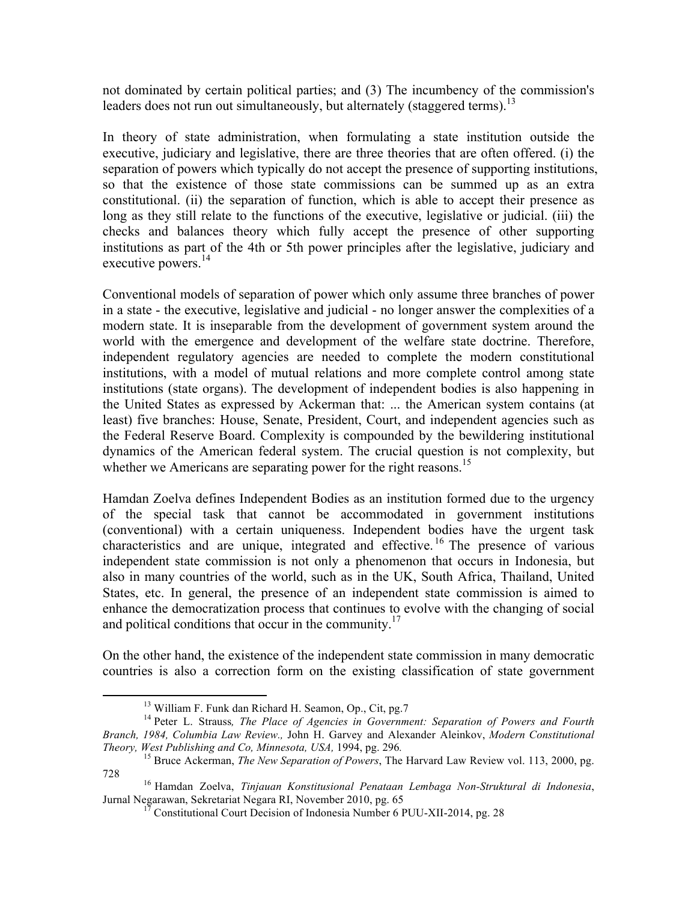not dominated by certain political parties; and (3) The incumbency of the commission's leaders does not run out simultaneously, but alternately (staggered terms).<sup>13</sup>

In theory of state administration, when formulating a state institution outside the executive, judiciary and legislative, there are three theories that are often offered. (i) the separation of powers which typically do not accept the presence of supporting institutions, so that the existence of those state commissions can be summed up as an extra constitutional. (ii) the separation of function, which is able to accept their presence as long as they still relate to the functions of the executive, legislative or judicial. (iii) the checks and balances theory which fully accept the presence of other supporting institutions as part of the 4th or 5th power principles after the legislative, judiciary and executive powers.<sup>14</sup>

Conventional models of separation of power which only assume three branches of power in a state - the executive, legislative and judicial - no longer answer the complexities of a modern state. It is inseparable from the development of government system around the world with the emergence and development of the welfare state doctrine. Therefore, independent regulatory agencies are needed to complete the modern constitutional institutions, with a model of mutual relations and more complete control among state institutions (state organs). The development of independent bodies is also happening in the United States as expressed by Ackerman that: ... the American system contains (at least) five branches: House, Senate, President, Court, and independent agencies such as the Federal Reserve Board. Complexity is compounded by the bewildering institutional dynamics of the American federal system. The crucial question is not complexity, but whether we Americans are separating power for the right reasons.<sup>15</sup>

Hamdan Zoelva defines Independent Bodies as an institution formed due to the urgency of the special task that cannot be accommodated in government institutions (conventional) with a certain uniqueness. Independent bodies have the urgent task characteristics and are unique, integrated and effective. <sup>16</sup> The presence of various independent state commission is not only a phenomenon that occurs in Indonesia, but also in many countries of the world, such as in the UK, South Africa, Thailand, United States, etc. In general, the presence of an independent state commission is aimed to enhance the democratization process that continues to evolve with the changing of social and political conditions that occur in the community.<sup>17</sup>

On the other hand, the existence of the independent state commission in many democratic countries is also a correction form on the existing classification of state government

<sup>&</sup>lt;sup>13</sup> William F. Funk dan Richard H. Seamon, Op., Cit, pg.7<br><sup>14</sup> Peter L. Strauss, *The Place of Agencies in Government: Separation of Powers and Fourth Branch, 1984, Columbia Law Review.,* John H. Garvey and Alexander Aleinkov, *Modern Constitutional Theory, West Publishing and Co, Minnesota, USA, 1994, pg. 296.* <sup>15</sup> Bruce Ackerman, *The New Separation of Powers*, The Harvard Law Review vol. 113, 2000, pg.

<sup>728</sup> <sup>16</sup> Hamdan Zoelva, *Tinjauan Konstitusional Penataan Lembaga Non-Struktural di Indonesia*,

 $1^7$  Constitutional Court Decision of Indonesia Number 6 PUU-XII-2014, pg. 28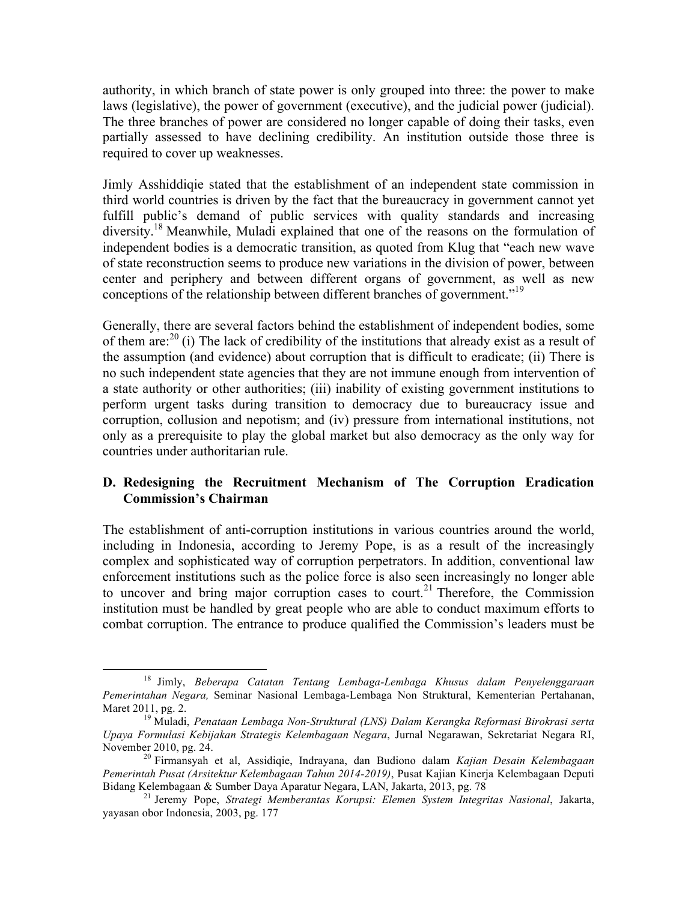authority, in which branch of state power is only grouped into three: the power to make laws (legislative), the power of government (executive), and the judicial power (judicial). The three branches of power are considered no longer capable of doing their tasks, even partially assessed to have declining credibility. An institution outside those three is required to cover up weaknesses.

Jimly Asshiddiqie stated that the establishment of an independent state commission in third world countries is driven by the fact that the bureaucracy in government cannot yet fulfill public's demand of public services with quality standards and increasing diversity.<sup>18</sup> Meanwhile, Muladi explained that one of the reasons on the formulation of independent bodies is a democratic transition, as quoted from Klug that "each new wave of state reconstruction seems to produce new variations in the division of power, between center and periphery and between different organs of government, as well as new conceptions of the relationship between different branches of government.<sup>"19</sup>

Generally, there are several factors behind the establishment of independent bodies, some of them are: $^{20}$  (i) The lack of credibility of the institutions that already exist as a result of the assumption (and evidence) about corruption that is difficult to eradicate; (ii) There is no such independent state agencies that they are not immune enough from intervention of a state authority or other authorities; (iii) inability of existing government institutions to perform urgent tasks during transition to democracy due to bureaucracy issue and corruption, collusion and nepotism; and (iv) pressure from international institutions, not only as a prerequisite to play the global market but also democracy as the only way for countries under authoritarian rule.

## **D. Redesigning the Recruitment Mechanism of The Corruption Eradication Commission's Chairman**

The establishment of anti-corruption institutions in various countries around the world, including in Indonesia, according to Jeremy Pope, is as a result of the increasingly complex and sophisticated way of corruption perpetrators. In addition, conventional law enforcement institutions such as the police force is also seen increasingly no longer able to uncover and bring major corruption cases to court.<sup>21</sup> Therefore, the Commission institution must be handled by great people who are able to conduct maximum efforts to combat corruption. The entrance to produce qualified the Commission's leaders must be

<sup>18</sup> Jimly, *Beberapa Catatan Tentang Lembaga-Lembaga Khusus dalam Penyelenggaraan Pemerintahan Negara,* Seminar Nasional Lembaga-Lembaga Non Struktural, Kementerian Pertahanan, Maret 2011, pg. 2. <sup>19</sup> Muladi, *Penataan Lembaga Non-Struktural (LNS) Dalam Kerangka Reformasi Birokrasi serta* 

*Upaya Formulasi Kebijakan Strategis Kelembagaan Negara*, Jurnal Negarawan, Sekretariat Negara RI, November 2010, pg. 24. <sup>20</sup> Firmansyah et al, Assidiqie, Indrayana, dan Budiono dalam *Kajian Desain Kelembagaan* 

*Pemerintah Pusat (Arsitektur Kelembagaan Tahun 2014-2019)*, Pusat Kajian Kinerja Kelembagaan Deputi

<sup>&</sup>lt;sup>21</sup> Jeremy Pope, *Strategi Memberantas Korupsi: Elemen System Integritas Nasional*, Jakarta, yayasan obor Indonesia, 2003, pg. 177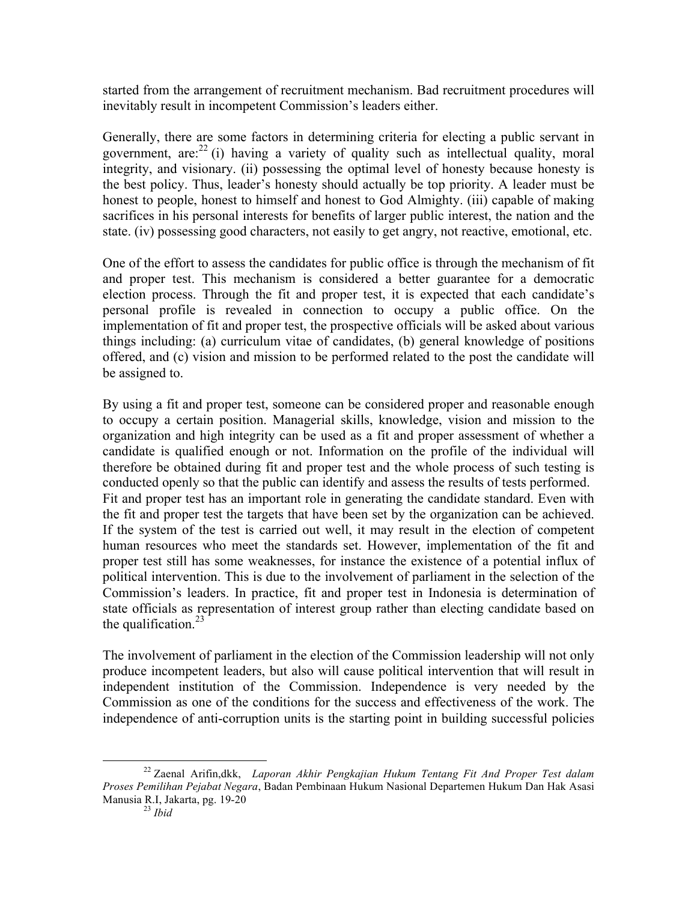started from the arrangement of recruitment mechanism. Bad recruitment procedures will inevitably result in incompetent Commission's leaders either.

Generally, there are some factors in determining criteria for electing a public servant in government, are:<sup>22</sup> (i) having a variety of quality such as intellectual quality, moral integrity, and visionary. (ii) possessing the optimal level of honesty because honesty is the best policy. Thus, leader's honesty should actually be top priority. A leader must be honest to people, honest to himself and honest to God Almighty. (iii) capable of making sacrifices in his personal interests for benefits of larger public interest, the nation and the state. (iv) possessing good characters, not easily to get angry, not reactive, emotional, etc.

One of the effort to assess the candidates for public office is through the mechanism of fit and proper test. This mechanism is considered a better guarantee for a democratic election process. Through the fit and proper test, it is expected that each candidate's personal profile is revealed in connection to occupy a public office. On the implementation of fit and proper test, the prospective officials will be asked about various things including: (a) curriculum vitae of candidates, (b) general knowledge of positions offered, and (c) vision and mission to be performed related to the post the candidate will be assigned to.

By using a fit and proper test, someone can be considered proper and reasonable enough to occupy a certain position. Managerial skills, knowledge, vision and mission to the organization and high integrity can be used as a fit and proper assessment of whether a candidate is qualified enough or not. Information on the profile of the individual will therefore be obtained during fit and proper test and the whole process of such testing is conducted openly so that the public can identify and assess the results of tests performed. Fit and proper test has an important role in generating the candidate standard. Even with the fit and proper test the targets that have been set by the organization can be achieved. If the system of the test is carried out well, it may result in the election of competent human resources who meet the standards set. However, implementation of the fit and proper test still has some weaknesses, for instance the existence of a potential influx of political intervention. This is due to the involvement of parliament in the selection of the Commission's leaders. In practice, fit and proper test in Indonesia is determination of state officials as representation of interest group rather than electing candidate based on the qualification. $^{23}$ 

The involvement of parliament in the election of the Commission leadership will not only produce incompetent leaders, but also will cause political intervention that will result in independent institution of the Commission. Independence is very needed by the Commission as one of the conditions for the success and effectiveness of the work. The independence of anti-corruption units is the starting point in building successful policies

<sup>22</sup> Zaenal Arifin,dkk, *Laporan Akhir Pengkajian Hukum Tentang Fit And Proper Test dalam Proses Pemilihan Pejabat Negara*, Badan Pembinaan Hukum Nasional Departemen Hukum Dan Hak Asasi Manusia R.I, Jakarta, pg. 19-20 <sup>23</sup> *Ibid*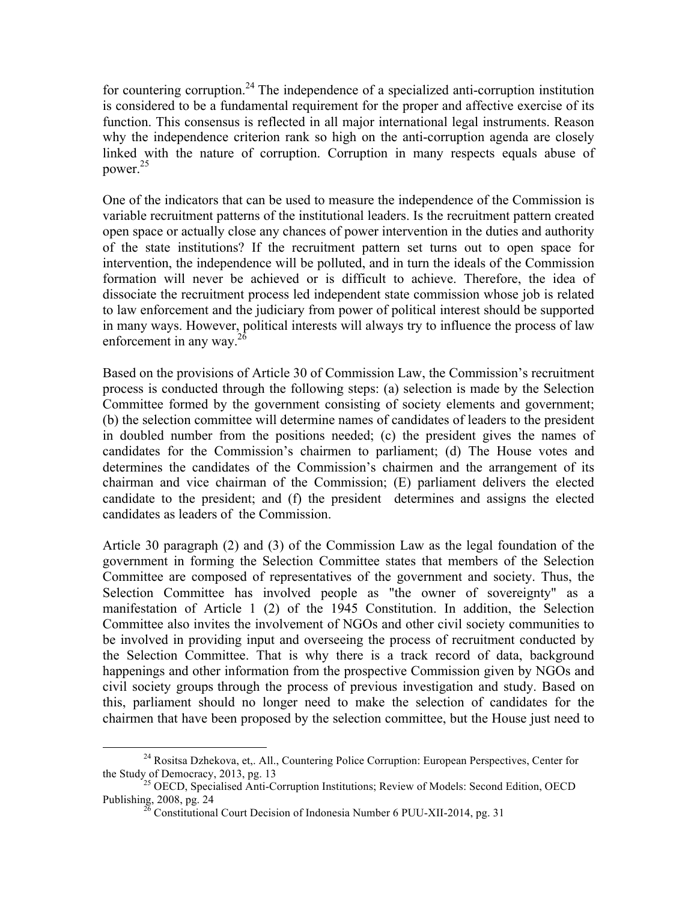for countering corruption.<sup>24</sup> The independence of a specialized anti-corruption institution is considered to be a fundamental requirement for the proper and affective exercise of its function. This consensus is reflected in all major international legal instruments. Reason why the independence criterion rank so high on the anti-corruption agenda are closely linked with the nature of corruption. Corruption in many respects equals abuse of power.<sup>25</sup>

One of the indicators that can be used to measure the independence of the Commission is variable recruitment patterns of the institutional leaders. Is the recruitment pattern created open space or actually close any chances of power intervention in the duties and authority of the state institutions? If the recruitment pattern set turns out to open space for intervention, the independence will be polluted, and in turn the ideals of the Commission formation will never be achieved or is difficult to achieve. Therefore, the idea of dissociate the recruitment process led independent state commission whose job is related to law enforcement and the judiciary from power of political interest should be supported in many ways. However, political interests will always try to influence the process of law enforcement in any way. $^{26}$ 

Based on the provisions of Article 30 of Commission Law, the Commission's recruitment process is conducted through the following steps: (a) selection is made by the Selection Committee formed by the government consisting of society elements and government; (b) the selection committee will determine names of candidates of leaders to the president in doubled number from the positions needed; (c) the president gives the names of candidates for the Commission's chairmen to parliament; (d) The House votes and determines the candidates of the Commission's chairmen and the arrangement of its chairman and vice chairman of the Commission; (E) parliament delivers the elected candidate to the president; and (f) the president determines and assigns the elected candidates as leaders of the Commission.

Article 30 paragraph (2) and (3) of the Commission Law as the legal foundation of the government in forming the Selection Committee states that members of the Selection Committee are composed of representatives of the government and society. Thus, the Selection Committee has involved people as "the owner of sovereignty" as a manifestation of Article 1 (2) of the 1945 Constitution. In addition, the Selection Committee also invites the involvement of NGOs and other civil society communities to be involved in providing input and overseeing the process of recruitment conducted by the Selection Committee. That is why there is a track record of data, background happenings and other information from the prospective Commission given by NGOs and civil society groups through the process of previous investigation and study. Based on this, parliament should no longer need to make the selection of candidates for the chairmen that have been proposed by the selection committee, but the House just need to

<sup>&</sup>lt;sup>24</sup> Rositsa Dzhekova, et,. All., Countering Police Corruption: European Perspectives, Center for the Study of Democracy, 2013, pg. 13<br><sup>25</sup> OECD, Specialised Anti-Corruption Institutions; Review of Models: Second Edition, OECD

Publishing, 2008, pg. 24 <sup>26</sup> Constitutional Court Decision of Indonesia Number 6 PUU-XII-2014, pg. 31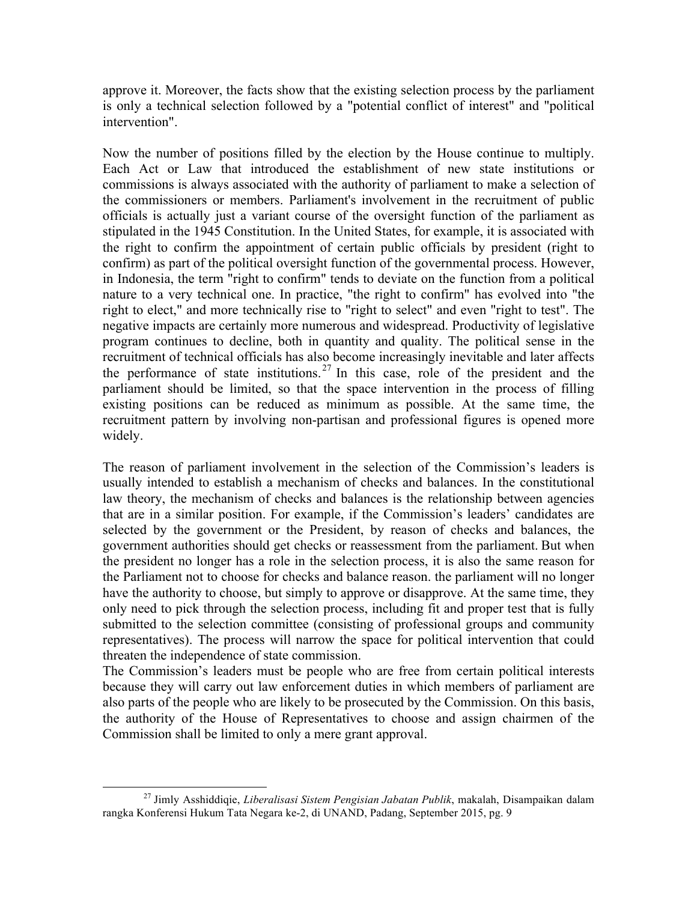approve it. Moreover, the facts show that the existing selection process by the parliament is only a technical selection followed by a "potential conflict of interest" and "political intervention".

Now the number of positions filled by the election by the House continue to multiply. Each Act or Law that introduced the establishment of new state institutions or commissions is always associated with the authority of parliament to make a selection of the commissioners or members. Parliament's involvement in the recruitment of public officials is actually just a variant course of the oversight function of the parliament as stipulated in the 1945 Constitution. In the United States, for example, it is associated with the right to confirm the appointment of certain public officials by president (right to confirm) as part of the political oversight function of the governmental process. However, in Indonesia, the term "right to confirm" tends to deviate on the function from a political nature to a very technical one. In practice, "the right to confirm" has evolved into "the right to elect," and more technically rise to "right to select" and even "right to test". The negative impacts are certainly more numerous and widespread. Productivity of legislative program continues to decline, both in quantity and quality. The political sense in the recruitment of technical officials has also become increasingly inevitable and later affects the performance of state institutions. <sup>27</sup> In this case, role of the president and the parliament should be limited, so that the space intervention in the process of filling existing positions can be reduced as minimum as possible. At the same time, the recruitment pattern by involving non-partisan and professional figures is opened more widely.

The reason of parliament involvement in the selection of the Commission's leaders is usually intended to establish a mechanism of checks and balances. In the constitutional law theory, the mechanism of checks and balances is the relationship between agencies that are in a similar position. For example, if the Commission's leaders' candidates are selected by the government or the President, by reason of checks and balances, the government authorities should get checks or reassessment from the parliament. But when the president no longer has a role in the selection process, it is also the same reason for the Parliament not to choose for checks and balance reason. the parliament will no longer have the authority to choose, but simply to approve or disapprove. At the same time, they only need to pick through the selection process, including fit and proper test that is fully submitted to the selection committee (consisting of professional groups and community representatives). The process will narrow the space for political intervention that could threaten the independence of state commission.

The Commission's leaders must be people who are free from certain political interests because they will carry out law enforcement duties in which members of parliament are also parts of the people who are likely to be prosecuted by the Commission. On this basis, the authority of the House of Representatives to choose and assign chairmen of the Commission shall be limited to only a mere grant approval.

<sup>27</sup> Jimly Asshiddiqie, *Liberalisasi Sistem Pengisian Jabatan Publik*, makalah, Disampaikan dalam rangka Konferensi Hukum Tata Negara ke-2, di UNAND, Padang, September 2015, pg. 9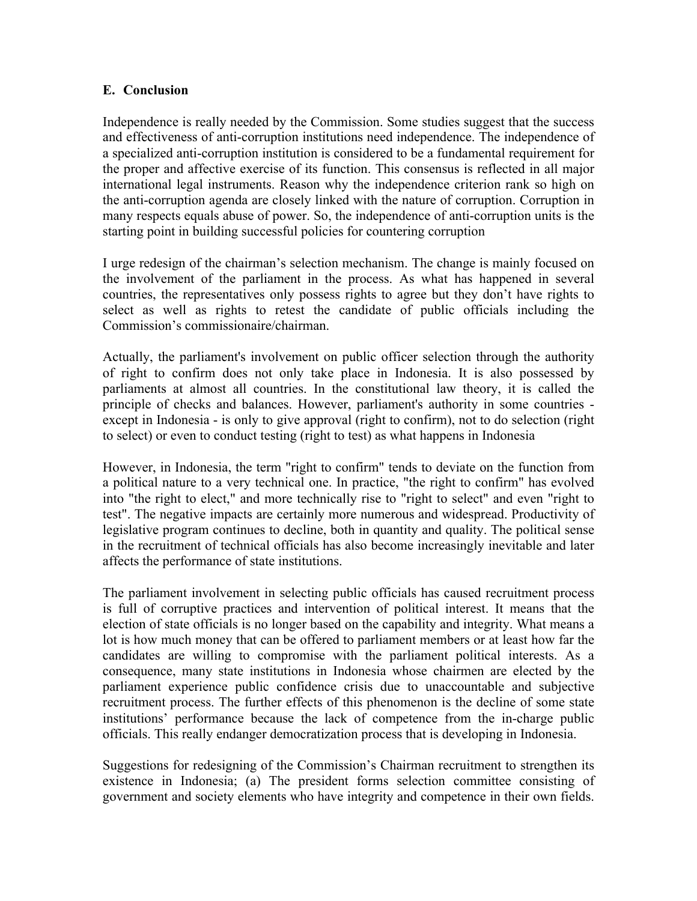## **E. Conclusion**

Independence is really needed by the Commission. Some studies suggest that the success and effectiveness of anti-corruption institutions need independence. The independence of a specialized anti-corruption institution is considered to be a fundamental requirement for the proper and affective exercise of its function. This consensus is reflected in all major international legal instruments. Reason why the independence criterion rank so high on the anti-corruption agenda are closely linked with the nature of corruption. Corruption in many respects equals abuse of power. So, the independence of anti-corruption units is the starting point in building successful policies for countering corruption

I urge redesign of the chairman's selection mechanism. The change is mainly focused on the involvement of the parliament in the process. As what has happened in several countries, the representatives only possess rights to agree but they don't have rights to select as well as rights to retest the candidate of public officials including the Commission's commissionaire/chairman.

Actually, the parliament's involvement on public officer selection through the authority of right to confirm does not only take place in Indonesia. It is also possessed by parliaments at almost all countries. In the constitutional law theory, it is called the principle of checks and balances. However, parliament's authority in some countries except in Indonesia - is only to give approval (right to confirm), not to do selection (right to select) or even to conduct testing (right to test) as what happens in Indonesia

However, in Indonesia, the term "right to confirm" tends to deviate on the function from a political nature to a very technical one. In practice, "the right to confirm" has evolved into "the right to elect," and more technically rise to "right to select" and even "right to test". The negative impacts are certainly more numerous and widespread. Productivity of legislative program continues to decline, both in quantity and quality. The political sense in the recruitment of technical officials has also become increasingly inevitable and later affects the performance of state institutions.

The parliament involvement in selecting public officials has caused recruitment process is full of corruptive practices and intervention of political interest. It means that the election of state officials is no longer based on the capability and integrity. What means a lot is how much money that can be offered to parliament members or at least how far the candidates are willing to compromise with the parliament political interests. As a consequence, many state institutions in Indonesia whose chairmen are elected by the parliament experience public confidence crisis due to unaccountable and subjective recruitment process. The further effects of this phenomenon is the decline of some state institutions' performance because the lack of competence from the in-charge public officials. This really endanger democratization process that is developing in Indonesia.

Suggestions for redesigning of the Commission's Chairman recruitment to strengthen its existence in Indonesia; (a) The president forms selection committee consisting of government and society elements who have integrity and competence in their own fields.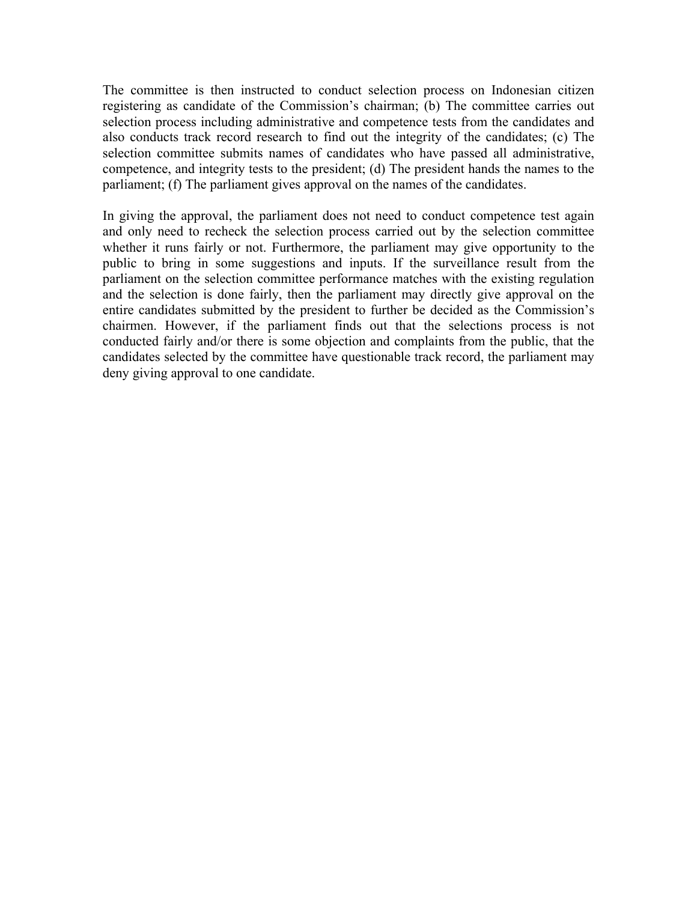The committee is then instructed to conduct selection process on Indonesian citizen registering as candidate of the Commission's chairman; (b) The committee carries out selection process including administrative and competence tests from the candidates and also conducts track record research to find out the integrity of the candidates; (c) The selection committee submits names of candidates who have passed all administrative, competence, and integrity tests to the president; (d) The president hands the names to the parliament; (f) The parliament gives approval on the names of the candidates.

In giving the approval, the parliament does not need to conduct competence test again and only need to recheck the selection process carried out by the selection committee whether it runs fairly or not. Furthermore, the parliament may give opportunity to the public to bring in some suggestions and inputs. If the surveillance result from the parliament on the selection committee performance matches with the existing regulation and the selection is done fairly, then the parliament may directly give approval on the entire candidates submitted by the president to further be decided as the Commission's chairmen. However, if the parliament finds out that the selections process is not conducted fairly and/or there is some objection and complaints from the public, that the candidates selected by the committee have questionable track record, the parliament may deny giving approval to one candidate.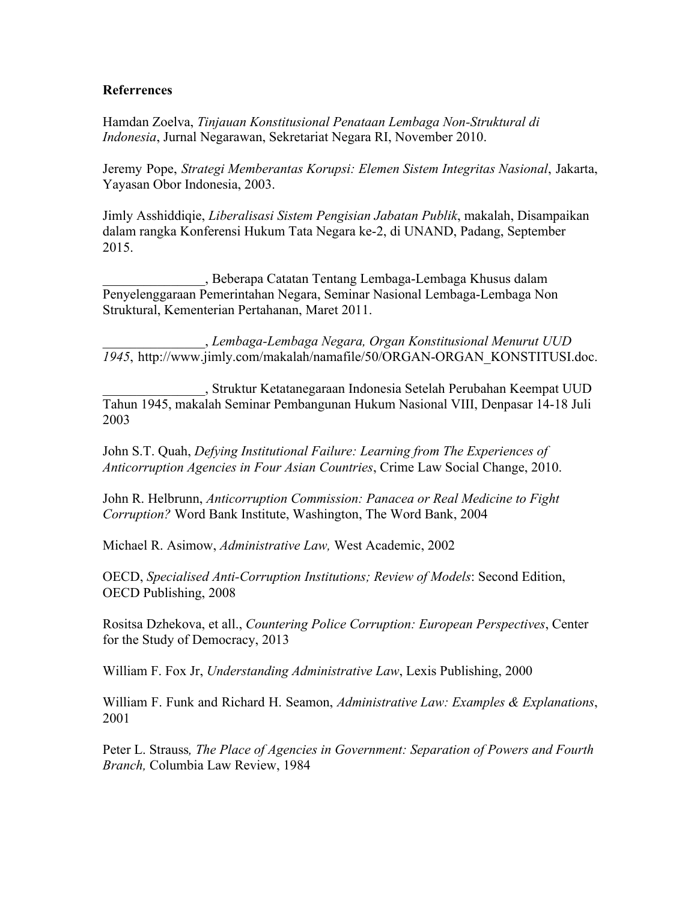#### **Referrences**

Hamdan Zoelva, *Tinjauan Konstitusional Penataan Lembaga Non-Struktural di Indonesia*, Jurnal Negarawan, Sekretariat Negara RI, November 2010.

Jeremy Pope, *Strategi Memberantas Korupsi: Elemen Sistem Integritas Nasional*, Jakarta, Yayasan Obor Indonesia, 2003.

Jimly Asshiddiqie, *Liberalisasi Sistem Pengisian Jabatan Publik*, makalah, Disampaikan dalam rangka Konferensi Hukum Tata Negara ke-2, di UNAND, Padang, September 2015.

\_\_\_\_\_\_\_\_\_\_\_\_\_\_\_, Beberapa Catatan Tentang Lembaga-Lembaga Khusus dalam Penyelenggaraan Pemerintahan Negara, Seminar Nasional Lembaga-Lembaga Non Struktural, Kementerian Pertahanan, Maret 2011.

\_\_\_\_\_\_\_\_\_\_\_\_\_\_\_, *Lembaga-Lembaga Negara, Organ Konstitusional Menurut UUD 1945*, http://www.jimly.com/makalah/namafile/50/ORGAN-ORGAN\_KONSTITUSI.doc.

\_\_\_\_\_\_\_\_\_\_\_\_\_\_\_, Struktur Ketatanegaraan Indonesia Setelah Perubahan Keempat UUD Tahun 1945, makalah Seminar Pembangunan Hukum Nasional VIII, Denpasar 14-18 Juli 2003

John S.T. Quah, *Defying Institutional Failure: Learning from The Experiences of Anticorruption Agencies in Four Asian Countries*, Crime Law Social Change, 2010.

John R. Helbrunn, *Anticorruption Commission: Panacea or Real Medicine to Fight Corruption?* Word Bank Institute, Washington, The Word Bank, 2004

Michael R. Asimow, *Administrative Law,* West Academic, 2002

OECD, *Specialised Anti-Corruption Institutions; Review of Models*: Second Edition, OECD Publishing, 2008

Rositsa Dzhekova, et all., *Countering Police Corruption: European Perspectives*, Center for the Study of Democracy, 2013

William F. Fox Jr, *Understanding Administrative Law*, Lexis Publishing, 2000

William F. Funk and Richard H. Seamon, *Administrative Law: Examples & Explanations*, 2001

Peter L. Strauss*, The Place of Agencies in Government: Separation of Powers and Fourth Branch,* Columbia Law Review, 1984